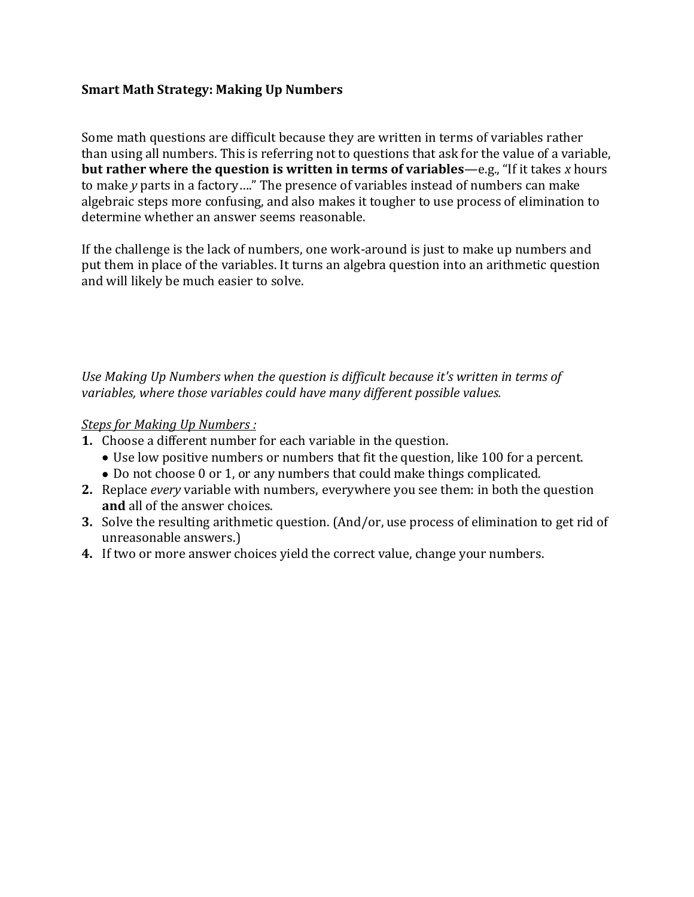## **Smart Math Strategy: Making Up Numbers**

Some math questions are difficult because they are written in terms of variables rather than using all numbers. This is referring not to questions that ask for the value of a variable, **but rather where the question is written in terms of variables**—e.g., "If it takes *x* hours to make *y* parts in a factory…." The presence of variables instead of numbers can make algebraic steps more confusing, and also makes it tougher to use process of elimination to determine whether an answer seems reasonable.

If the challenge is the lack of numbers, one work-around is just to make up numbers and put them in place of the variables. It turns an algebra question into an arithmetic question and will likely be much easier to solve.

*Use Making Up Numbers when the question is difficult because it's written in terms of variables, where those variables could have many different possible values.*

## *Steps for Making Up Numbers :*

- **1.** Choose a different number for each variable in the question.
	- Use low positive numbers or numbers that fit the question, like 100 for a percent.
	- Do not choose 0 or 1, or any numbers that could make things complicated.
- **2.** Replace *every* variable with numbers, everywhere you see them: in both the question **and** all of the answer choices.
- **3.** Solve the resulting arithmetic question. (And/or, use process of elimination to get rid of unreasonable answers.)
- **4.** If two or more answer choices yield the correct value, change your numbers.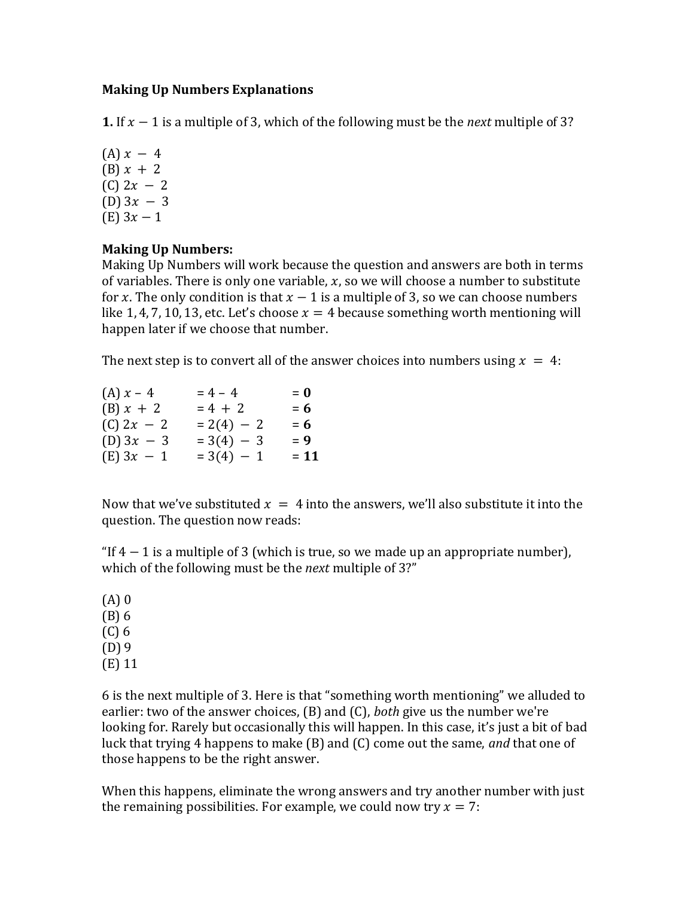## **Making Up Numbers Explanations**

**1.** If  $x - 1$  is a multiple of 3, which of the following must be the *next* multiple of 3?

 $(A) x - 4$ (B)  $x + 2$  $(C)$  2 $x - 2$ (D)  $3x - 3$ (E)  $3x - 1$ 

## **Making Up Numbers:**

Making Up Numbers will work because the question and answers are both in terms of variables. There is only one variable,  $x$ , so we will choose a number to substitute for x. The only condition is that  $x - 1$  is a multiple of 3, so we can choose numbers like 1, 4, 7, 10, 13, etc. Let's choose  $x = 4$  because something worth mentioning will happen later if we choose that number.

The next step is to convert all of the answer choices into numbers using  $x = 4$ :

| (A) $x - 4$  | $= 4 - 4$    | $= 0$ |
|--------------|--------------|-------|
| $(B) x + 2$  | $= 4 + 2$    | $= 6$ |
| $(C)$ 2x - 2 | $= 2(4) - 2$ | $= 6$ |
| (D) $3x - 3$ | $=3(4) - 3$  | $= 9$ |
| $(E)$ 3x - 1 | $= 3(4) - 1$ | = 11  |

Now that we've substituted  $x = 4$  into the answers, we'll also substitute it into the question. The question now reads:

"If  $4 - 1$  is a multiple of 3 (which is true, so we made up an appropriate number), which of the following must be the *next* multiple of 3?"

(A) 0 (B) 6 (C) 6 (D) 9 (E) 11

6 is the next multiple of 3. Here is that "something worth mentioning" we alluded to earlier: two of the answer choices, (B) and (C), *both* give us the number we're looking for. Rarely but occasionally this will happen. In this case, it's just a bit of bad luck that trying 4 happens to make (B) and (C) come out the same, *and* that one of those happens to be the right answer.

When this happens, eliminate the wrong answers and try another number with just the remaining possibilities. For example, we could now try  $x = 7$ :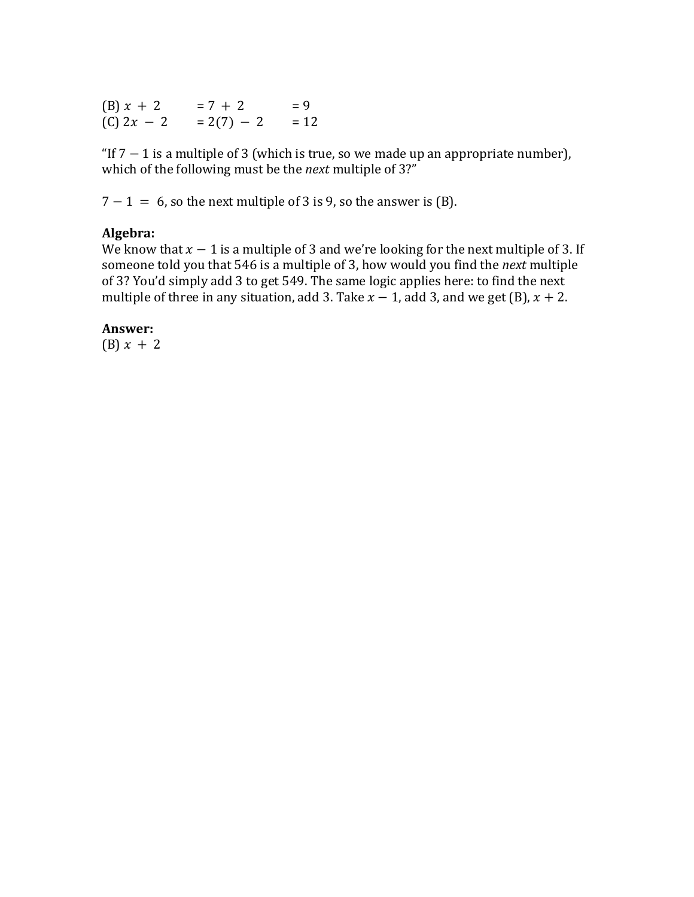(B)  $x + 2 = 7 + 2 = 9$ <br>(C)  $2x - 2 = 2(7) - 2 = 12$  $= 2(7) - 2 = 12$ 

"If  $7 - 1$  is a multiple of 3 (which is true, so we made up an appropriate number), which of the following must be the *next* multiple of 3?"

 $7 - 1 = 6$ , so the next multiple of 3 is 9, so the answer is (B).

### **Algebra:**

We know that  $x - 1$  is a multiple of 3 and we're looking for the next multiple of 3. If someone told you that 546 is a multiple of 3, how would you find the *next* multiple of 3? You'd simply add 3 to get 549. The same logic applies here: to find the next multiple of three in any situation, add 3. Take  $x - 1$ , add 3, and we get (B),  $x + 2$ .

#### **Answer:**

(B)  $x + 2$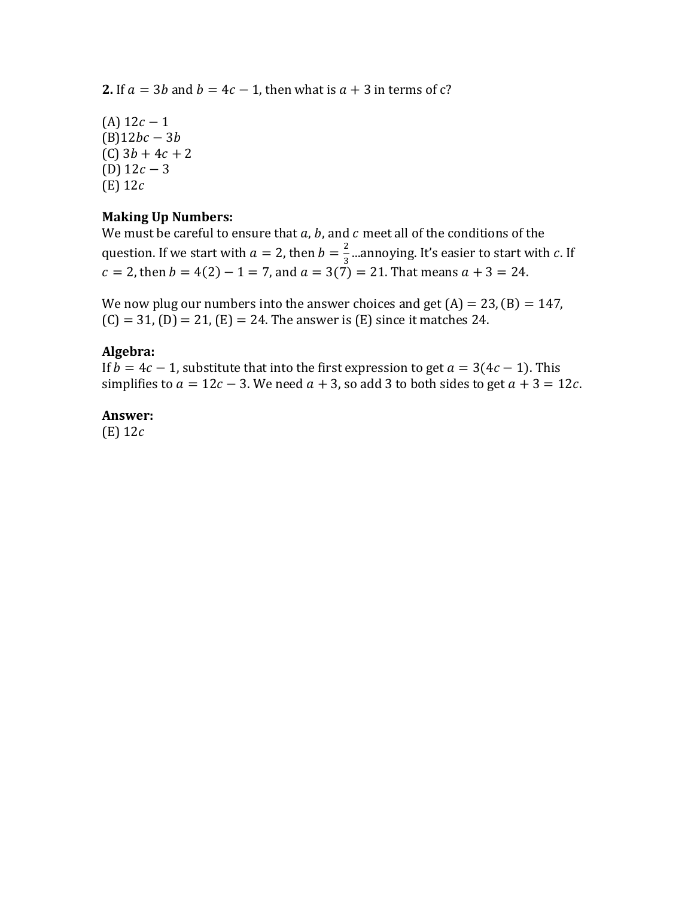**2.** If  $a = 3b$  and  $b = 4c - 1$ , then what is  $a + 3$  in terms of c?

 $(A)$  12 $c - 1$  $(B)12bc - 3b$  $(C)$  3*b* + 4*c* + 2 (D)  $12c - 3$  $(E)$  12 $c$ 

## **Making Up Numbers:**

We must be careful to ensure that  $a$ ,  $b$ , and  $c$  meet all of the conditions of the question. If we start with  $a = 2$ , then  $b = \frac{2}{3}$  $\frac{2}{3}$  ...annoying. It's easier to start with c. If  $c = 2$ , then  $b = 4(2) - 1 = 7$ , and  $a = 3(7) = 21$ . That means  $a + 3 = 24$ .

We now plug our numbers into the answer choices and get  $(A) = 23$ ,  $(B) = 147$ ,  $(C) = 31$ ,  $(D) = 21$ ,  $(E) = 24$ . The answer is  $(E)$  since it matches 24.

## **Algebra:**

If  $b = 4c - 1$ , substitute that into the first expression to get  $a = 3(4c - 1)$ . This simplifies to  $a = 12c - 3$ . We need  $a + 3$ , so add 3 to both sides to get  $a + 3 = 12c$ .

### **Answer:**

 $(E)$  12 $c$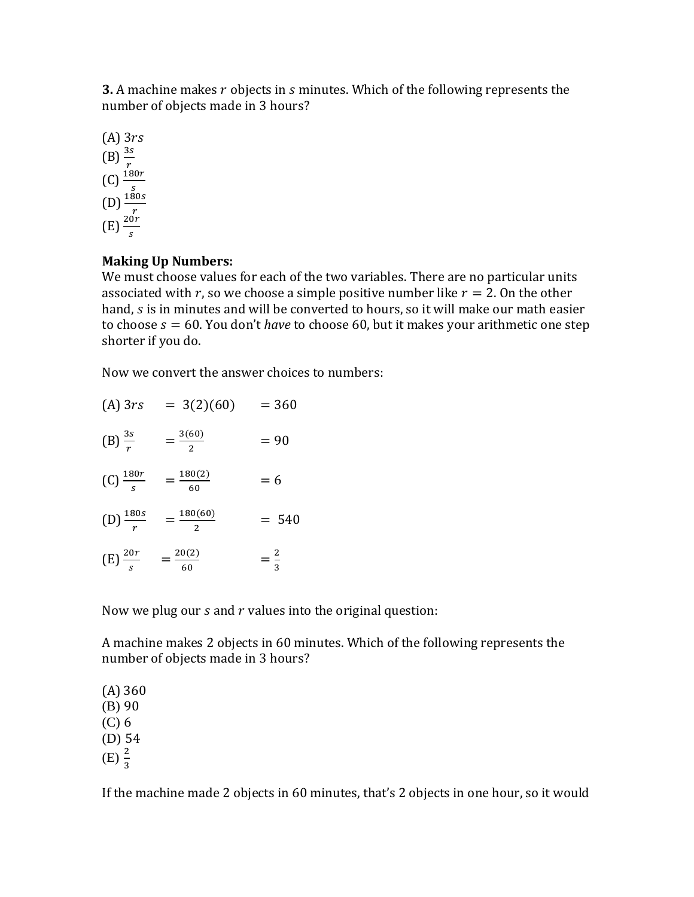**3.** A machine makes r objects in *s* minutes. Which of the following represents the number of objects made in 3 hours?

 $(A)$  3rs (B)  $\frac{\frac{3s}{r}}{\frac{s}{s}}$ <br>
(C)  $\frac{\frac{180r}{s}}{\frac{180s}{s}}$ 

## **Making Up Numbers:**

We must choose values for each of the two variables. There are no particular units associated with r, so we choose a simple positive number like  $r = 2$ . On the other hand, s is in minutes and will be converted to hours, so it will make our math easier to choose = 60. You don't *have* to choose 60, but it makes your arithmetic one step shorter if you do.

Now we convert the answer choices to numbers:

| $(A)$ 3rs              | $= 3(2)(60)$         | $= 360$        |
|------------------------|----------------------|----------------|
| $(B) \frac{3s}{r}$     | $=\frac{3(60)}{2}$   | $= 90$         |
| $(C)$ $\frac{180r}{s}$ | $=\frac{180(2)}{60}$ | $= 6$          |
| $(D)$ $\frac{180s}{r}$ | $=\frac{180(60)}{2}$ | $= 540$        |
| $(E)\frac{20r}{s}$     | $=\frac{20(2)}{60}$  | $=\frac{2}{3}$ |

Now we plug our  $s$  and  $r$  values into the original question:

A machine makes 2 objects in 60 minutes. Which of the following represents the number of objects made in 3 hours?

(A) 360 (B) 90 (C) 6 (D) 54 (E)  $\frac{2}{3}$ 

If the machine made 2 objects in 60 minutes, that's 2 objects in one hour, so it would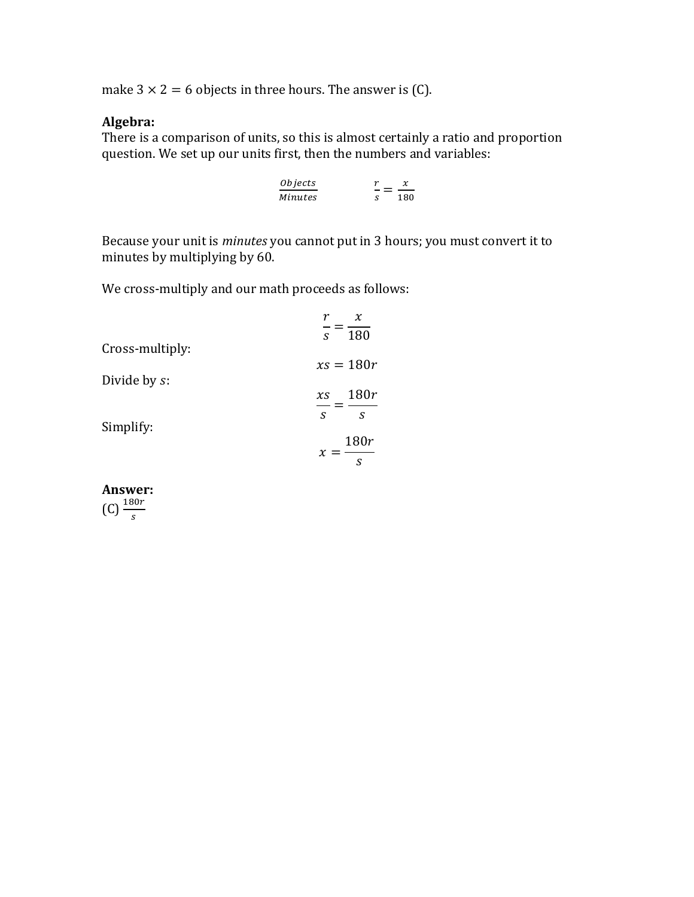make  $3 \times 2 = 6$  objects in three hours. The answer is (C).

# **Algebra:**

There is a comparison of units, so this is almost certainly a ratio and proportion question. We set up our units first, then the numbers and variables:

| <i>Objects</i> |    |     |
|----------------|----|-----|
| Minutes        | S. | 180 |

Because your unit is *minutes* you cannot put in 3 hours; you must convert it to minutes by multiplying by 60.

We cross-multiply and our math proceeds as follows:

|                 | $\chi$                                |
|-----------------|---------------------------------------|
| Cross-multiply: | 180<br>S.                             |
|                 | $xs = 180r$                           |
| Divide by s:    | 180r<br>XS<br>$\mathcal{S}$<br>S.     |
| Simplify:       | 180r<br>$\chi$<br>=<br>$\overline{s}$ |

**Answer:**  $(C)$   $\frac{180r}{s}$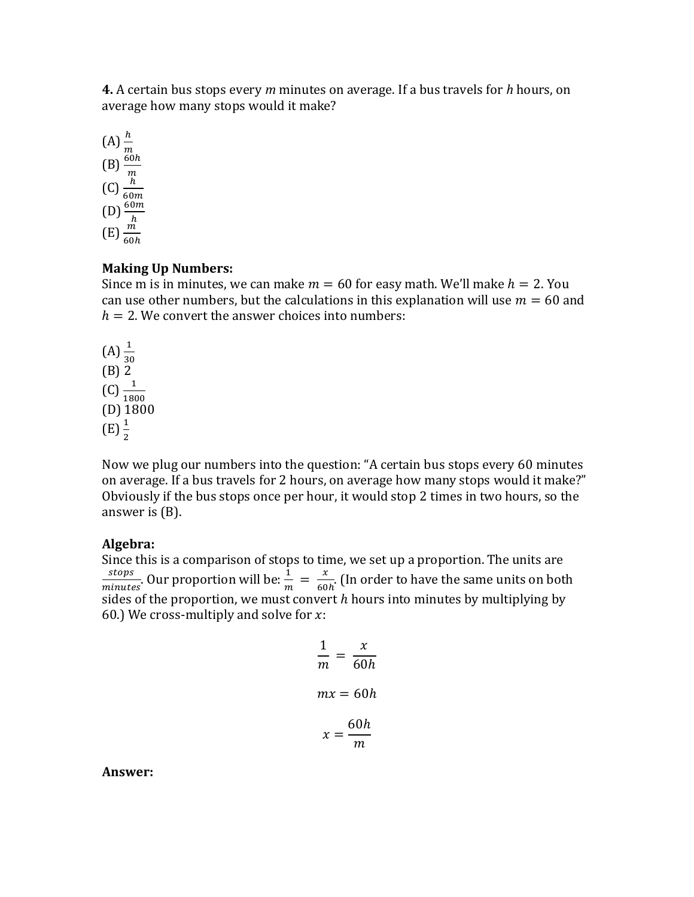**4.** A certain bus stops every *m* minutes on average. If a bus travels for *h* hours, on average how many stops would it make?



### **Making Up Numbers:**

Since m is in minutes, we can make  $m = 60$  for easy math. We'll make  $h = 2$ . You can use other numbers, but the calculations in this explanation will use  $m = 60$  and  $h = 2$ . We convert the answer choices into numbers:

 $(A) \frac{1}{30}$ (B) 2  $(C) \frac{1}{1800}$  $(D)$  1800  $(E) \frac{1}{2}$ 

Now we plug our numbers into the question: "A certain bus stops every 60 minutes on average. If a bus travels for 2 hours, on average how many stops would it make?" Obviously if the bus stops once per hour, it would stop 2 times in two hours, so the answer is (B).

### **Algebra:**

Since this is a comparison of stops to time, we set up a proportion. The units are stops  $\frac{stops}{minutes}$ . Our proportion will be:  $\frac{1}{m} = \frac{x}{60}$  $\frac{x}{60h}$ . (In order to have the same units on both sides of the proportion, we must convert  $h$  hours into minutes by multiplying by 60.) We cross-multiply and solve for  $x$ :

$$
\frac{1}{m} = \frac{x}{60h}
$$

$$
mx = 60h
$$

$$
x = \frac{60h}{m}
$$

**Answer:**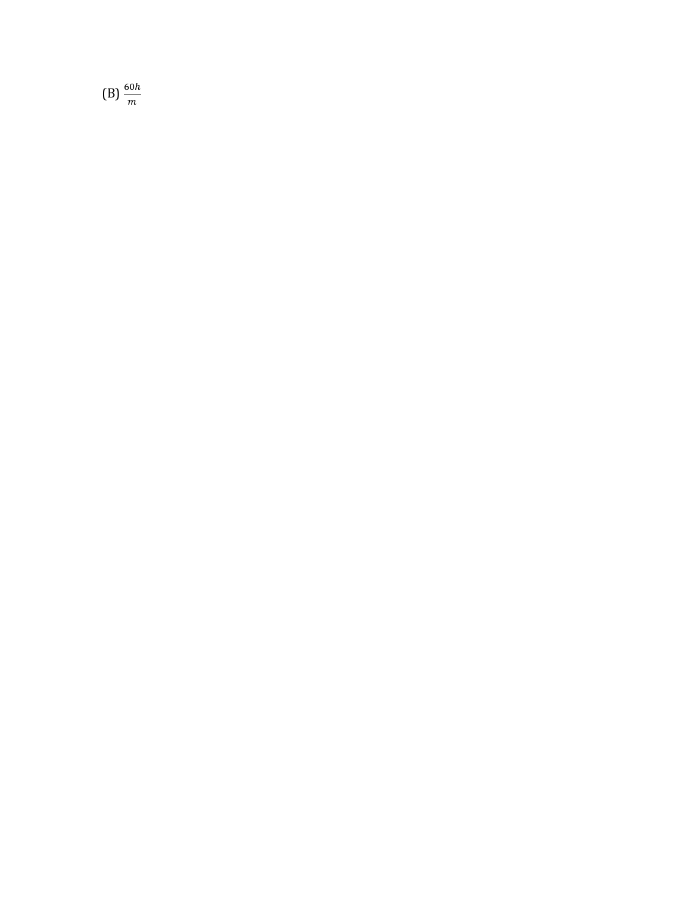$(B) \frac{60h}{m}$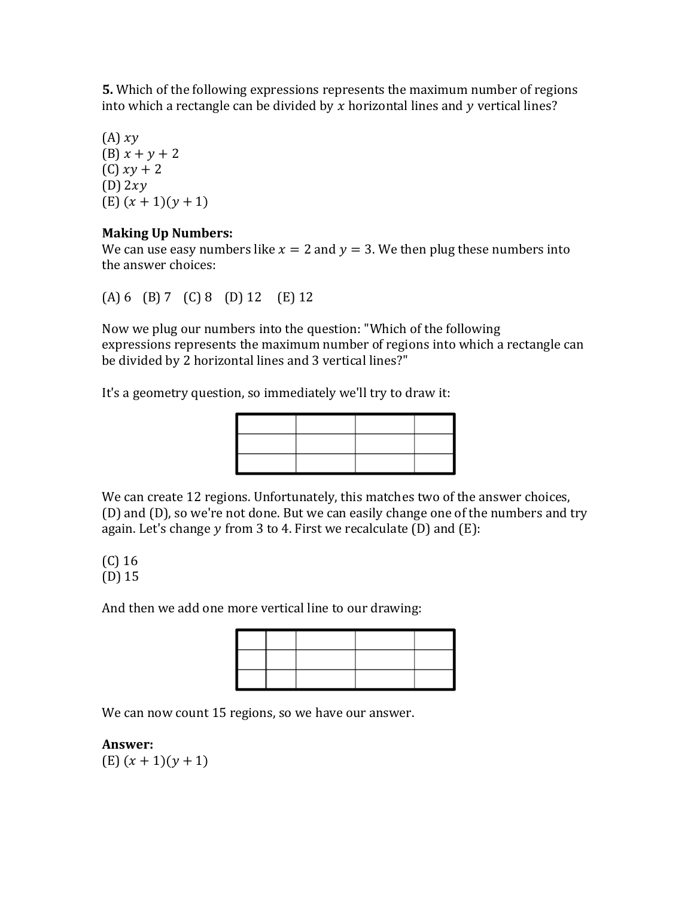**5.** Which of the following expressions represents the maximum number of regions into which a rectangle can be divided by  $x$  horizontal lines and  $y$  vertical lines?

 $(A) xy$ (B)  $x + y + 2$  $(C) xy + 2$  $(D)$  2xy  $(E)$   $(x + 1)(y + 1)$ 

## **Making Up Numbers:**

We can use easy numbers like  $x = 2$  and  $y = 3$ . We then plug these numbers into the answer choices:

(A) 6 (B) 7 (C) 8 (D) 12 (E) 12

Now we plug our numbers into the question: "Which of the following expressions represents the maximum number of regions into which a rectangle can be divided by 2 horizontal lines and 3 vertical lines?"

It's a geometry question, so immediately we'll try to draw it:

We can create 12 regions. Unfortunately, this matches two of the answer choices, (D) and (D), so we're not done. But we can easily change one of the numbers and try again. Let's change  $y$  from 3 to 4. First we recalculate (D) and (E):

(C) 16 (D) 15

And then we add one more vertical line to our drawing:

We can now count 15 regions, so we have our answer.

# **Answer:**

 $(E)$   $(x + 1)(y + 1)$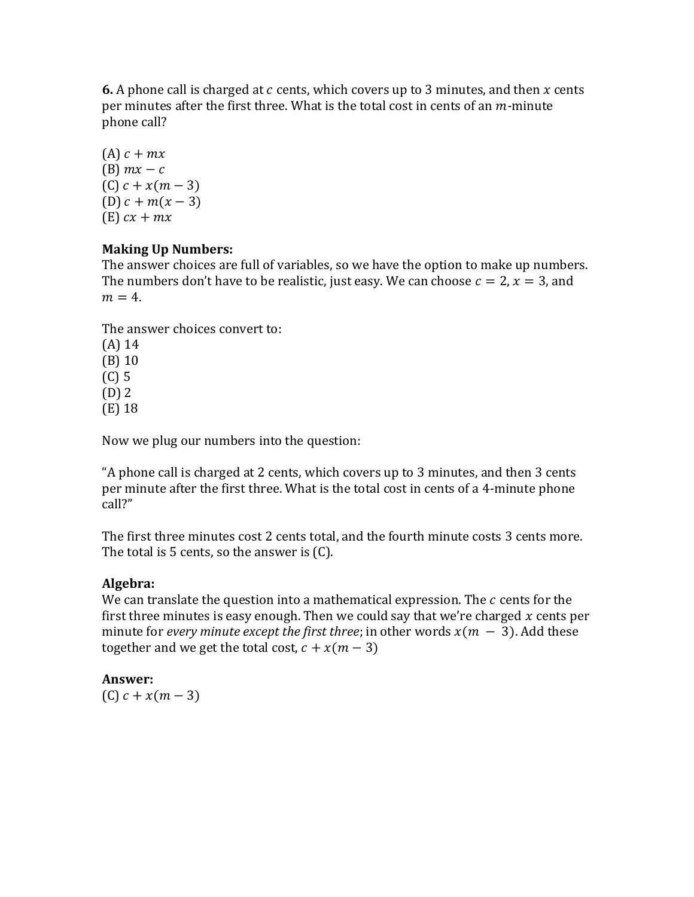**6.** A phone call is charged at  $c$  cents, which covers up to 3 minutes, and then  $x$  cents per minutes after the first three. What is the total cost in cents of an *m*-minute phone call?

(A)  $c + mx$ (B)  $mx - c$  $(C) c + x(m - 3)$ (D)  $c + m(x - 3)$  $(E)$   $cx + mx$ 

# **Making Up Numbers:**

The answer choices are full of variables, so we have the option to make up numbers. The numbers don't have to be realistic, just easy. We can choose  $c = 2$ ,  $x = 3$ , and  $m = 4$ .

The answer choices convert to:

(A) 14 (B) 10 (C) 5 (D) 2 (E) 18

Now we plug our numbers into the question:

"A phone call is charged at 2 cents, which covers up to 3 minutes, and then 3 cents per minute after the first three. What is the total cost in cents of a 4*-*minute phone call?"

The first three minutes cost 2 cents total, and the fourth minute costs 3 cents more. The total is 5 cents, so the answer is (C).

# **Algebra:**

We can translate the question into a mathematical expression. The  $c$  cents for the first three minutes is easy enough. Then we could say that we're charged  $x$  cents per minute for *every minute except the first three*; in other words  $x(m - 3)$ . Add these together and we get the total cost,  $c + x(m - 3)$ 

# **Answer:**

 $(C) c + x(m - 3)$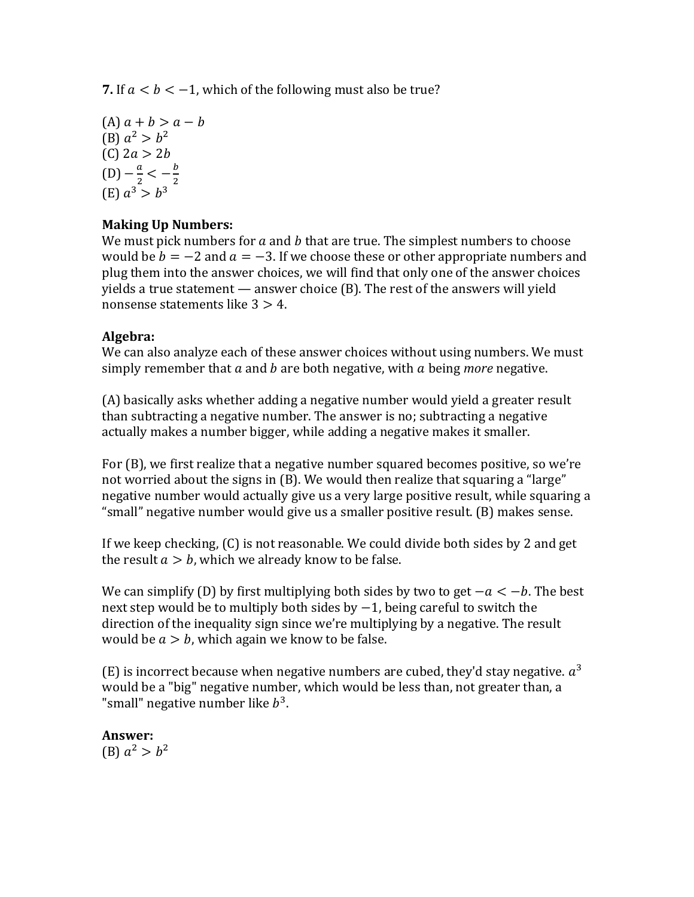**7.** If  $a < b < -1$ , which of the following must also be true?

 $(A) a + b > a - b$ (B)  $a^2 > b^2$ (C)  $2a > 2b$  $(D) - \frac{a}{a}$  $\frac{a}{2} < -\frac{b}{2}$ 2 (E)  $a^3 > b^3$ 

# **Making Up Numbers:**

We must pick numbers for  $a$  and  $b$  that are true. The simplest numbers to choose would be  $b = -2$  and  $a = -3$ . If we choose these or other appropriate numbers and plug them into the answer choices, we will find that only one of the answer choices yields a true statement — answer choice (B). The rest of the answers will yield nonsense statements like  $3 > 4$ .

## **Algebra:**

We can also analyze each of these answer choices without using numbers. We must simply remember that  $\alpha$  and  $\beta$  are both negative, with  $\alpha$  being *more* negative.

(A) basically asks whether adding a negative number would yield a greater result than subtracting a negative number. The answer is no; subtracting a negative actually makes a number bigger, while adding a negative makes it smaller.

For (B), we first realize that a negative number squared becomes positive, so we're not worried about the signs in (B). We would then realize that squaring a "large" negative number would actually give us a very large positive result, while squaring a "small" negative number would give us a smaller positive result. (B) makes sense.

If we keep checking, (C) is not reasonable. We could divide both sides by 2 and get the result  $a > b$ , which we already know to be false.

We can simplify (D) by first multiplying both sides by two to get  $-a < -b$ . The best next step would be to multiply both sides by -1, being careful to switch the direction of the inequality sign since we're multiplying by a negative. The result would be  $a > b$ , which again we know to be false.

(E) is incorrect because when negative numbers are cubed, they'd stay negative.  $a^3$ would be a "big" negative number, which would be less than, not greater than, a "small" negative number like  $b^3$ .

**Answer:** (B)  $a^2 > b^2$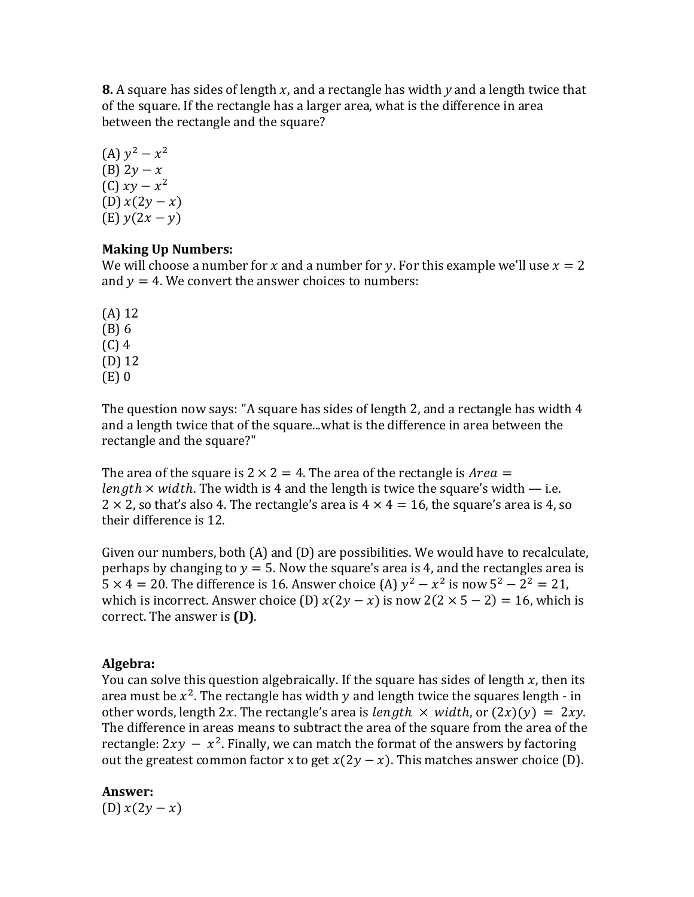**8.** A square has sides of length x, and a rectangle has width y and a length twice that of the square. If the rectangle has a larger area, what is the difference in area between the rectangle and the square?

(A)  $y^2 - x^2$ (B)  $2y - x$ (C)  $xy - x^2$ (D)  $x(2y - x)$ (E)  $y(2x - y)$ 

## **Making Up Numbers:**

We will choose a number for x and a number for y. For this example we'll use  $x = 2$ and  $y = 4$ . We convert the answer choices to numbers:

(A) 12 (B) 6 (C) 4 (D) 12 (E) 0

The question now says: "A square has sides of length 2, and a rectangle has width 4 and a length twice that of the square...what is the difference in area between the rectangle and the square?"

The area of the square is  $2 \times 2 = 4$ . The area of the rectangle is *Area* = length  $\times$  width. The width is 4 and the length is twice the square's width — i.e.  $2 \times 2$ , so that's also 4. The rectangle's area is  $4 \times 4 = 16$ , the square's area is 4, so their difference is 12.

Given our numbers, both (A) and (D) are possibilities. We would have to recalculate, perhaps by changing to  $y = 5$ . Now the square's area is 4, and the rectangles area is  $5 \times 4 = 20$ . The difference is 16. Answer choice (A)  $y^2 - x^2$  is now  $5^2 - 2^2 = 21$ , which is incorrect. Answer choice (D)  $x(2y - x)$  is now  $2(2 \times 5 - 2) = 16$ , which is correct. The answer is **(D)**.

# **Algebra:**

You can solve this question algebraically. If the square has sides of length  $x$ , then its area must be  $x^2$ . The rectangle has width y and length twice the squares length - in other words, length 2x. The rectangle's area is *length*  $\times$  width, or  $(2x)(y) = 2xy$ . The difference in areas means to subtract the area of the square from the area of the rectangle:  $2xy - x^2$ . Finally, we can match the format of the answers by factoring out the greatest common factor x to get  $x(2y - x)$ . This matches answer choice (D).

# **Answer:**

(D)  $x(2y - x)$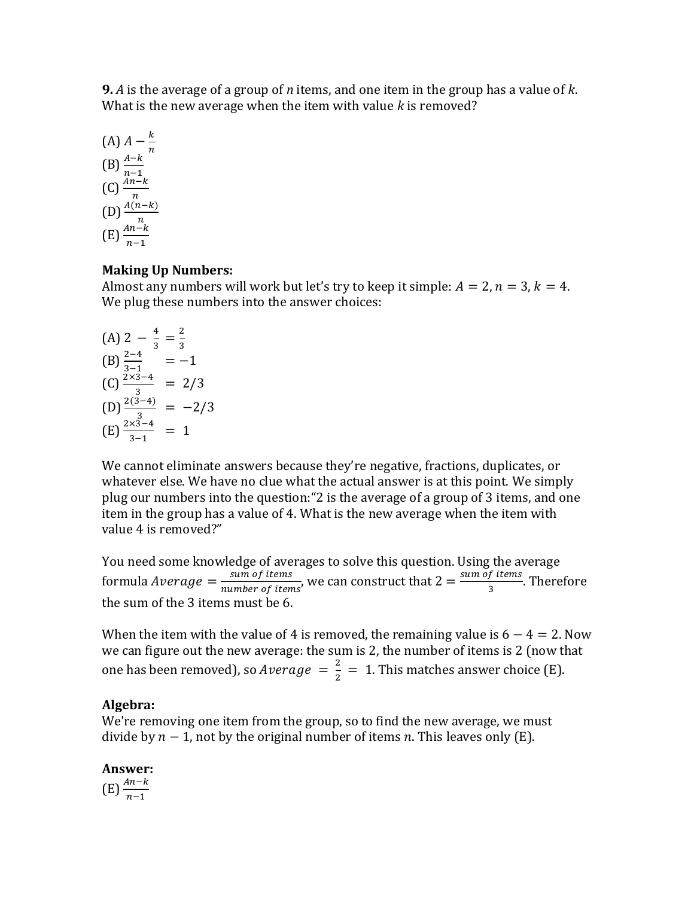**9.** *A* is the average of a group of *n* items, and one item in the group has a value of *k*. What is the new average when the item with value *k* is removed?

(A) 
$$
A - \frac{k}{n}
$$
  
\n(B) 
$$
\frac{A-k}{n-1}
$$
  
\n(C) 
$$
\frac{An-k}{n}
$$
  
\n(D) 
$$
\frac{A(n-k)}{n}
$$
  
\n(E) 
$$
\frac{An-k}{n-1}
$$

## **Making Up Numbers:**

Almost any numbers will work but let's try to keep it simple:  $A = 2$ ,  $n = 3$ ,  $k = 4$ . We plug these numbers into the answer choices:

(A) 
$$
2 - \frac{4}{3} = \frac{2}{3}
$$
  
\n(B)  $\frac{2-4}{3-1} = -1$   
\n(C)  $\frac{2 \times 3 - 4}{3} = 2/3$   
\n(D)  $\frac{2(3-4)}{3} = -2/3$   
\n(E)  $\frac{2 \times 3 - 4}{3-1} = 1$ 

We cannot eliminate answers because they're negative, fractions, duplicates, or whatever else. We have no clue what the actual answer is at this point. We simply plug our numbers into the question:"2 is the average of a group of 3 items, and one item in the group has a value of 4. What is the new average when the item with value 4 is removed?"

You need some knowledge of averages to solve this question. Using the average formula Average  $=\frac{sum\ of\ items}{number\ of\ items}$  $\frac{sum\space of\ items}{number\space of\ items}$ , we can construct that  $2 = \frac{sum\space of\ items}{3}$  $\frac{1}{3}$ . Therefore the sum of the 3 items must be 6.

When the item with the value of 4 is removed, the remaining value is  $6 - 4 = 2$ . Now we can figure out the new average: the sum is 2, the number of items is 2 (now that one has been removed), so Average  $=\frac{2}{3}$  $\frac{2}{2}$  = 1. This matches answer choice (E).

# **Algebra:**

We're removing one item from the group, so to find the new average, we must divide by  $n-1$ , not by the original number of items n. This leaves only (E).

**Answer:**   $(E) \frac{An-k}{n-1}$